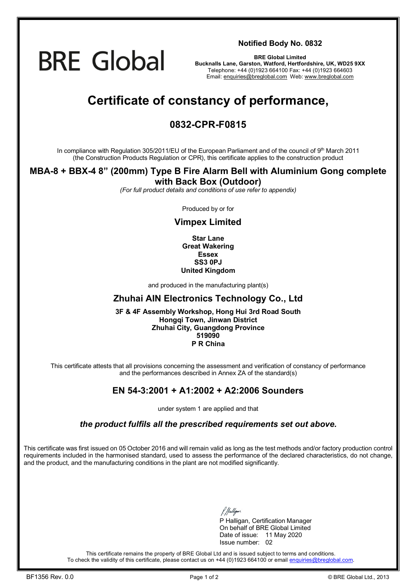

**Notified Body No. 0832**

**BRE Global Limited Bucknalls Lane, Garston, Watford, Hertfordshire, UK, WD25 9XX**  Telephone: +44 (0)1923 664100 Fax: +44 (0)1923 664603 Email: [enquiries@breglobal.com](mailto:enquiries@breglobal.com) Web: [www.breglobal.com](http://www.breglobal.com)

# **Certificate of constancy of performance,**

### **0832-CPR-F0815**

In compliance with Regulation 305/2011/EU of the European Parliament and of the council of 9th March 2011 (the Construction Products Regulation or CPR), this certificate applies to the construction product

# **MBA-8 + BBX-4 8" (200mm) Type B Fire Alarm Bell with Aluminium Gong complete**

**with Back Box (Outdoor)** *(For full product details and conditions of use refer to appendix)* 

Produced by or for

#### **Vimpex Limited**

**Star Lane Great Wakering Essex SS3 0PJ United Kingdom**

and produced in the manufacturing plant(s)

#### **Zhuhai AIN Electronics Technology Co., Ltd**

**3F & 4F Assembly Workshop, Hong Hui 3rd Road South Hongqi Town, Jinwan District Zhuhai City, Guangdong Province 519090 P R China**

This certificate attests that all provisions concerning the assessment and verification of constancy of performance and the performances described in Annex ZA of the standard(s)

#### **EN 54-3:2001 + A1:2002 + A2:2006 Sounders**

under system 1 are applied and that

*the product fulfils all the prescribed requirements set out above.* 

This certificate was first issued on 05 October 2016 and will remain valid as long as the test methods and/or factory production control requirements included in the harmonised standard, used to assess the performance of the declared characteristics, do not change, and the product, and the manufacturing conditions in the plant are not modified significantly.

P Halligan, Certification Manager On behalf of BRE Global Limited Date of issue: 11 May 2020 Issue number: 02

This certificate remains the property of BRE Global Ltd and is issued subject to terms and conditions. To check the validity of this certificate, please contact us on +44 (0)1923 664100 or email [enquiries@breglobal.com.](mailto:enquiries@breglobal.com)